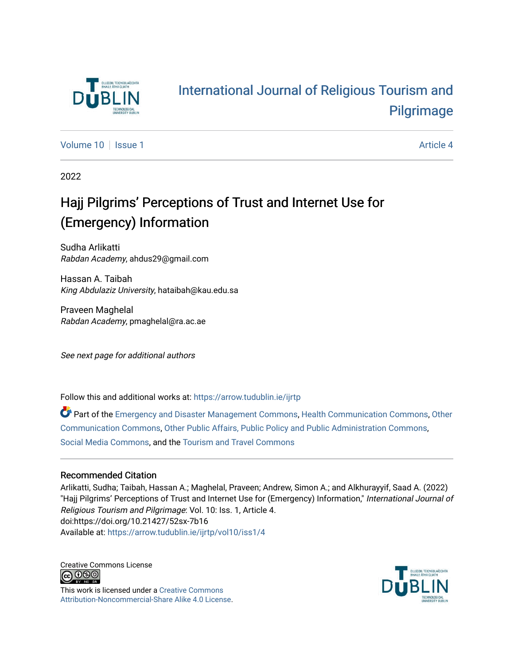

# [International Journal of Religious Tourism and](https://arrow.tudublin.ie/ijrtp)  [Pilgrimage](https://arrow.tudublin.ie/ijrtp)

[Volume 10](https://arrow.tudublin.ie/ijrtp/vol10) | [Issue 1](https://arrow.tudublin.ie/ijrtp/vol10/iss1) Article 4

2022

# Hajj Pilgrims' Perceptions of Trust and Internet Use for (Emergency) Information

Sudha Arlikatti Rabdan Academy, ahdus29@gmail.com

Hassan A. Taibah King Abdulaziz University, hataibah@kau.edu.sa

Praveen Maghelal Rabdan Academy, pmaghelal@ra.ac.ae

See next page for additional authors

Follow this and additional works at: [https://arrow.tudublin.ie/ijrtp](https://arrow.tudublin.ie/ijrtp?utm_source=arrow.tudublin.ie%2Fijrtp%2Fvol10%2Fiss1%2F4&utm_medium=PDF&utm_campaign=PDFCoverPages)

Part of the [Emergency and Disaster Management Commons,](https://network.bepress.com/hgg/discipline/1321?utm_source=arrow.tudublin.ie%2Fijrtp%2Fvol10%2Fiss1%2F4&utm_medium=PDF&utm_campaign=PDFCoverPages) [Health Communication Commons](https://network.bepress.com/hgg/discipline/330?utm_source=arrow.tudublin.ie%2Fijrtp%2Fvol10%2Fiss1%2F4&utm_medium=PDF&utm_campaign=PDFCoverPages), [Other](https://network.bepress.com/hgg/discipline/339?utm_source=arrow.tudublin.ie%2Fijrtp%2Fvol10%2Fiss1%2F4&utm_medium=PDF&utm_campaign=PDFCoverPages)  [Communication Commons](https://network.bepress.com/hgg/discipline/339?utm_source=arrow.tudublin.ie%2Fijrtp%2Fvol10%2Fiss1%2F4&utm_medium=PDF&utm_campaign=PDFCoverPages), [Other Public Affairs, Public Policy and Public Administration Commons](https://network.bepress.com/hgg/discipline/403?utm_source=arrow.tudublin.ie%2Fijrtp%2Fvol10%2Fiss1%2F4&utm_medium=PDF&utm_campaign=PDFCoverPages), [Social Media Commons,](https://network.bepress.com/hgg/discipline/1249?utm_source=arrow.tudublin.ie%2Fijrtp%2Fvol10%2Fiss1%2F4&utm_medium=PDF&utm_campaign=PDFCoverPages) and the [Tourism and Travel Commons](https://network.bepress.com/hgg/discipline/1082?utm_source=arrow.tudublin.ie%2Fijrtp%2Fvol10%2Fiss1%2F4&utm_medium=PDF&utm_campaign=PDFCoverPages) 

# Recommended Citation

Arlikatti, Sudha; Taibah, Hassan A.; Maghelal, Praveen; Andrew, Simon A.; and Alkhurayyif, Saad A. (2022) "Hajj Pilgrims' Perceptions of Trust and Internet Use for (Emergency) Information," International Journal of Religious Tourism and Pilgrimage: Vol. 10: Iss. 1, Article 4. doi:https://doi.org/10.21427/52sx-7b16 Available at: [https://arrow.tudublin.ie/ijrtp/vol10/iss1/4](https://arrow.tudublin.ie/ijrtp/vol10/iss1/4?utm_source=arrow.tudublin.ie%2Fijrtp%2Fvol10%2Fiss1%2F4&utm_medium=PDF&utm_campaign=PDFCoverPages)

Creative Commons License <u>@@@</u>

This work is licensed under a [Creative Commons](https://creativecommons.org/licenses/by-nc-sa/4.0/) [Attribution-Noncommercial-Share Alike 4.0 License](https://creativecommons.org/licenses/by-nc-sa/4.0/).

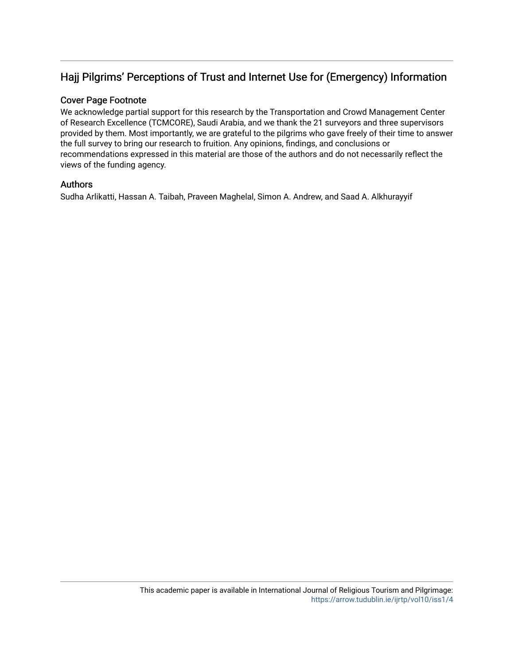# Hajj Pilgrims' Perceptions of Trust and Internet Use for (Emergency) Information

## Cover Page Footnote

We acknowledge partial support for this research by the Transportation and Crowd Management Center of Research Excellence (TCMCORE), Saudi Arabia, and we thank the 21 surveyors and three supervisors provided by them. Most importantly, we are grateful to the pilgrims who gave freely of their time to answer the full survey to bring our research to fruition. Any opinions, findings, and conclusions or recommendations expressed in this material are those of the authors and do not necessarily reflect the views of the funding agency.

#### Authors

Sudha Arlikatti, Hassan A. Taibah, Praveen Maghelal, Simon A. Andrew, and Saad A. Alkhurayyif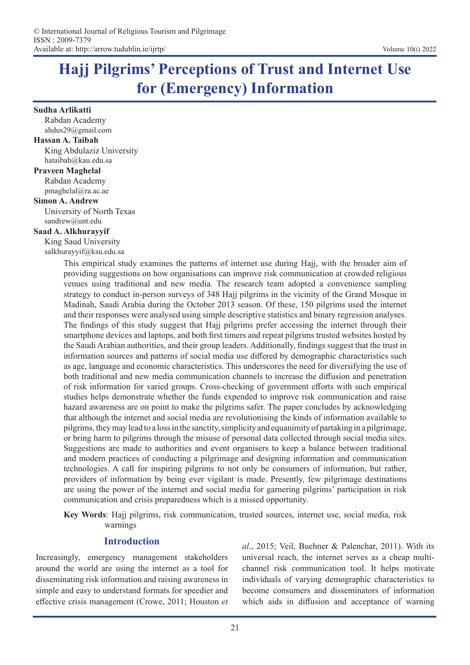# **Hajj Pilgrims' Perceptions of Trust and Internet Use for (Emergency) Information**

#### **Sudha Arlikatti**

Rabdan Academy ahdus29@gmail.com

#### **Hassan A. Taibah**

King Abdulaziz University hataibah@kau.edu.sa

#### **Praveen Maghelal**

Rabdan Academy pmaghelal@ra.ac.ae

#### **Simon A. Andrew**

University of North Texas sandrew@unt.edu

#### **Saad A. Alkhurayyif**

King Saud University salkhurayyif@ksu.edu.sa

> This empirical study examines the patterns of internet use during Hajj, with the broader aim of providing suggestions on how organisations can improve risk communication at crowded religious venues using traditional and new media. The research team adopted a convenience sampling strategy to conduct in-person surveys of 348 Hajj pilgrims in the vicinity of the Grand Mosque in Madinah, Saudi Arabia during the October 2013 season. Of these, 150 pilgrims used the internet and their responses were analysed using simple descriptive statistics and binary regression analyses. The findings of this study suggest that Hajj pilgrims prefer accessing the internet through their smartphone devices and laptops, and both first timers and repeat pilgrims trusted websites hosted by the Saudi Arabian authorities, and their group leaders. Additionally, findings suggest that the trust in information sources and patterns of social media use differed by demographic characteristics such as age, language and economic characteristics. This underscores the need for diversifying the use of both traditional and new media communication channels to increase the diffusion and penetration of risk information for varied groups. Cross-checking of government efforts with such empirical studies helps demonstrate whether the funds expended to improve risk communication and raise hazard awareness are on point to make the pilgrims safer. The paper concludes by acknowledging that although the internet and social media are revolutionising the kinds of information available to pilgrims, they may lead to a loss in the sanctity, simplicity and equanimity of partaking in a pilgrimage, or bring harm to pilgrims through the misuse of personal data collected through social media sites. Suggestions are made to authorities and event organisers to keep a balance between traditional and modern practices of conducting a pilgrimage and designing information and communication technologies. A call for inspiring pilgrims to not only be consumers of information, but rather, providers of information by being ever vigilant is made. Presently, few pilgrimage destinations are using the power of the internet and social media for garnering pilgrims' participation in risk communication and crisis preparedness which is a missed opportunity.

> **Key Words**: Hajj pilgrims, risk communication, trusted sources, internet use, social media, risk warnings

# **Introduction**

Increasingly, emergency management stakeholders around the world are using the internet as a tool for disseminating risk information and raising awareness in simple and easy to understand formats for speedier and effective crisis management (Crowe, 2011; Houston *et*  *al*., 2015; Veil, Buehner & Palenchar, 2011). With its universal reach, the internet serves as a cheap multichannel risk communication tool. It helps motivate individuals of varying demographic characteristics to become consumers and disseminators of information which aids in diffusion and acceptance of warning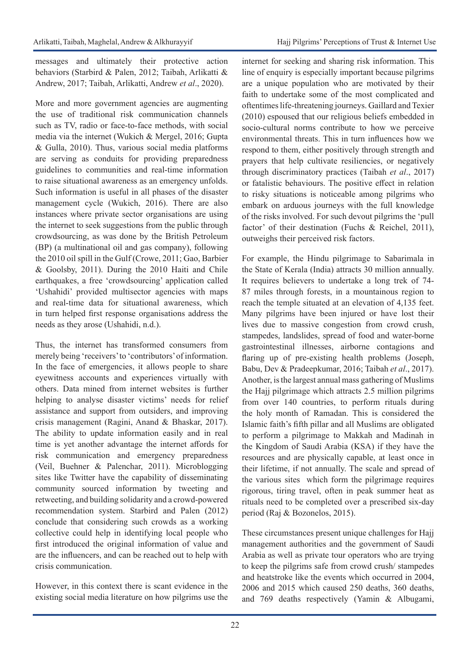messages and ultimately their protective action behaviors (Starbird & Palen, 2012; Taibah, Arlikatti & Andrew, 2017; Taibah, Arlikatti, Andrew *et al*., 2020).

More and more government agencies are augmenting the use of traditional risk communication channels such as TV, radio or face-to-face methods, with social media via the internet (Wukich & Mergel, 2016; Gupta & Gulla, 2010). Thus, various social media platforms are serving as conduits for providing preparedness guidelines to communities and real-time information to raise situational awareness as an emergency unfolds. Such information is useful in all phases of the disaster management cycle (Wukich, 2016). There are also instances where private sector organisations are using the internet to seek suggestions from the public through crowdsourcing, as was done by the British Petroleum (BP) (a multinational oil and gas company), following the 2010 oil spill in the Gulf (Crowe, 2011; Gao, Barbier & Goolsby, 2011). During the 2010 Haiti and Chile earthquakes, a free 'crowdsourcing' application called 'Ushahidi' provided multisector agencies with maps and real-time data for situational awareness, which in turn helped first response organisations address the needs as they arose (Ushahidi, n.d.).

Thus, the internet has transformed consumers from merely being 'receivers' to 'contributors' of information. In the face of emergencies, it allows people to share eyewitness accounts and experiences virtually with others. Data mined from internet websites is further helping to analyse disaster victims' needs for relief assistance and support from outsiders, and improving crisis management (Ragini, Anand & Bhaskar, 2017). The ability to update information easily and in real time is yet another advantage the internet affords for risk communication and emergency preparedness (Veil, Buehner & Palenchar, 2011). Microblogging sites like Twitter have the capability of disseminating community sourced information by tweeting and retweeting, and building solidarity and a crowd-powered recommendation system. Starbird and Palen (2012) conclude that considering such crowds as a working collective could help in identifying local people who first introduced the original information of value and are the influencers, and can be reached out to help with crisis communication.

However, in this context there is scant evidence in the existing social media literature on how pilgrims use the

internet for seeking and sharing risk information. This line of enquiry is especially important because pilgrims are a unique population who are motivated by their faith to undertake some of the most complicated and oftentimes life-threatening journeys. Gaillard and Texier (2010) espoused that our religious beliefs embedded in socio-cultural norms contribute to how we perceive environmental threats. This in turn influences how we respond to them, either positively through strength and prayers that help cultivate resiliencies, or negatively through discriminatory practices (Taibah *et al*., 2017) or fatalistic behaviours. The positive effect in relation to risky situations is noticeable among pilgrims who embark on arduous journeys with the full knowledge of the risks involved. For such devout pilgrims the 'pull factor' of their destination (Fuchs & Reichel, 2011), outweighs their perceived risk factors.

For example, the Hindu pilgrimage to Sabarimala in the State of Kerala (India) attracts 30 million annually. It requires believers to undertake a long trek of 74- 87 miles through forests, in a mountainous region to reach the temple situated at an elevation of 4,135 feet. Many pilgrims have been injured or have lost their lives due to massive congestion from crowd crush, stampedes, landslides, spread of food and water-borne gastrointestinal illnesses, airborne contagions and flaring up of pre-existing health problems (Joseph, Babu, Dev & Pradeepkumar, 2016; Taibah *et al*., 2017). Another, is the largest annual mass gathering of Muslims the Hajj pilgrimage which attracts 2.5 million pilgrims from over 140 countries, to perform rituals during the holy month of Ramadan. This is considered the Islamic faith's fifth pillar and all Muslims are obligated to perform a pilgrimage to Makkah and Madinah in the Kingdom of Saudi Arabia (KSA) if they have the resources and are physically capable, at least once in their lifetime, if not annually. The scale and spread of the various sites which form the pilgrimage requires rigorous, tiring travel, often in peak summer heat as rituals need to be completed over a prescribed six-day period (Raj & Bozonelos, 2015).

These circumstances present unique challenges for Hajj management authorities and the government of Saudi Arabia as well as private tour operators who are trying to keep the pilgrims safe from crowd crush/ stampedes and heatstroke like the events which occurred in 2004, 2006 and 2015 which caused 250 deaths, 360 deaths, and 769 deaths respectively (Yamin & Albugami,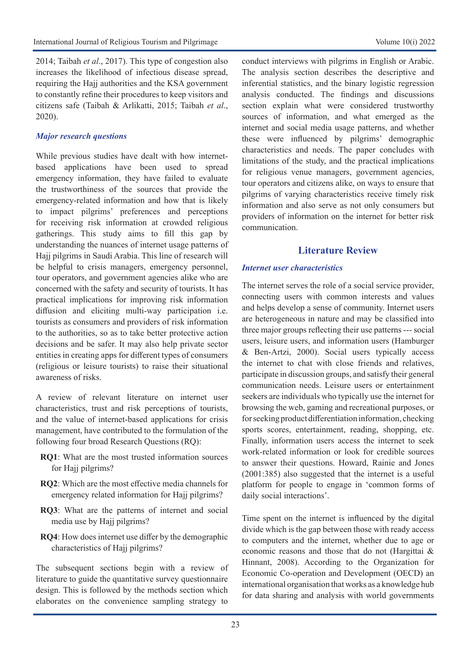2014; Taibah *et al*., 2017). This type of congestion also increases the likelihood of infectious disease spread, requiring the Hajj authorities and the KSA government to constantly refine their procedures to keep visitors and citizens safe (Taibah & Arlikatti, 2015; Taibah *et al*., 2020).

#### *Major research questions*

While previous studies have dealt with how internetbased applications have been used to spread emergency information, they have failed to evaluate the trustworthiness of the sources that provide the emergency-related information and how that is likely to impact pilgrims' preferences and perceptions for receiving risk information at crowded religious gatherings. This study aims to fill this gap by understanding the nuances of internet usage patterns of Hajj pilgrims in Saudi Arabia. This line of research will be helpful to crisis managers, emergency personnel, tour operators, and government agencies alike who are concerned with the safety and security of tourists. It has practical implications for improving risk information diffusion and eliciting multi-way participation i.e. tourists as consumers and providers of risk information to the authorities, so as to take better protective action decisions and be safer. It may also help private sector entities in creating apps for different types of consumers (religious or leisure tourists) to raise their situational awareness of risks.

A review of relevant literature on internet user characteristics, trust and risk perceptions of tourists, and the value of internet-based applications for crisis management, have contributed to the formulation of the following four broad Research Questions (RQ):

- **RQ1**: What are the most trusted information sources for Hajj pilgrims?
- **RQ2**: Which are the most effective media channels for emergency related information for Hajj pilgrims?
- **RQ3**: What are the patterns of internet and social media use by Hajj pilgrims?
- **RQ4**: How does internet use differ by the demographic characteristics of Hajj pilgrims?

The subsequent sections begin with a review of literature to guide the quantitative survey questionnaire design. This is followed by the methods section which elaborates on the convenience sampling strategy to

conduct interviews with pilgrims in English or Arabic. The analysis section describes the descriptive and inferential statistics, and the binary logistic regression analysis conducted. The findings and discussions section explain what were considered trustworthy sources of information, and what emerged as the internet and social media usage patterns, and whether these were influenced by pilgrims' demographic characteristics and needs. The paper concludes with limitations of the study, and the practical implications for religious venue managers, government agencies, tour operators and citizens alike, on ways to ensure that pilgrims of varying characteristics receive timely risk information and also serve as not only consumers but providers of information on the internet for better risk communication.

# **Literature Review**

#### *Internet user characteristics*

The internet serves the role of a social service provider, connecting users with common interests and values and helps develop a sense of community. Internet users are heterogeneous in nature and may be classified into three major groups reflecting their use patterns --- social users, leisure users, and information users (Hamburger & Ben-Artzi, 2000). Social users typically access the internet to chat with close friends and relatives, participate in discussion groups, and satisfy their general communication needs. Leisure users or entertainment seekers are individuals who typically use the internet for browsing the web, gaming and recreational purposes, or for seeking product differentiation information, checking sports scores, entertainment, reading, shopping, etc. Finally, information users access the internet to seek work-related information or look for credible sources to answer their questions. Howard, Rainie and Jones (2001:385) also suggested that the internet is a useful platform for people to engage in 'common forms of daily social interactions'.

Time spent on the internet is influenced by the digital divide which is the gap between those with ready access to computers and the internet, whether due to age or economic reasons and those that do not (Hargittai & Hinnant, 2008). According to the Organization for Economic Co-operation and Development (OECD) an international organisation that works as a knowledge hub for data sharing and analysis with world governments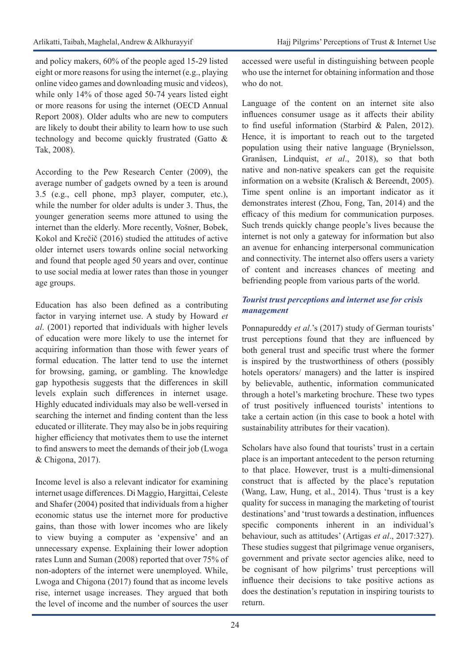and policy makers, 60% of the people aged 15-29 listed eight or more reasons for using the internet (e.g., playing online video games and downloading music and videos), while only 14% of those aged 50-74 years listed eight or more reasons for using the internet (OECD Annual Report 2008). Older adults who are new to computers are likely to doubt their ability to learn how to use such technology and become quickly frustrated (Gatto & Tak, 2008).

According to the Pew Research Center (2009), the average number of gadgets owned by a teen is around 3.5 (e.g., cell phone, mp3 player, computer, etc.), while the number for older adults is under 3. Thus, the younger generation seems more attuned to using the internet than the elderly. More recently, Vošner, Bobek, Kokol and Krečič (2016) studied the attitudes of active older internet users towards online social networking and found that people aged 50 years and over, continue to use social media at lower rates than those in younger age groups.

Education has also been defined as a contributing factor in varying internet use. A study by Howard *et al*. (2001) reported that individuals with higher levels of education were more likely to use the internet for acquiring information than those with fewer years of formal education. The latter tend to use the internet for browsing, gaming, or gambling. The knowledge gap hypothesis suggests that the differences in skill levels explain such differences in internet usage. Highly educated individuals may also be well-versed in searching the internet and finding content than the less educated or illiterate. They may also be in jobs requiring higher efficiency that motivates them to use the internet to find answers to meet the demands of their job (Lwoga & Chigona, 2017).

Income level is also a relevant indicator for examining internet usage differences. Di Maggio, Hargittai, Celeste and Shafer (2004) posited that individuals from a higher economic status use the internet more for productive gains, than those with lower incomes who are likely to view buying a computer as 'expensive' and an unnecessary expense. Explaining their lower adoption rates Lunn and Suman (2008) reported that over 75% of non-adopters of the internet were unemployed. While, Lwoga and Chigona (2017) found that as income levels rise, internet usage increases. They argued that both the level of income and the number of sources the user

accessed were useful in distinguishing between people who use the internet for obtaining information and those who do not.

Language of the content on an internet site also influences consumer usage as it affects their ability to find useful information (Starbird & Palen, 2012). Hence, it is important to reach out to the targeted population using their native language (Brynielsson, Granåsen, Lindquist, *et al*., 2018), so that both native and non-native speakers can get the requisite information on a website (Kralisch & Bereendt, 2005). Time spent online is an important indicator as it demonstrates interest (Zhou, Fong, Tan, 2014) and the efficacy of this medium for communication purposes. Such trends quickly change people's lives because the internet is not only a gateway for information but also an avenue for enhancing interpersonal communication and connectivity. The internet also offers users a variety of content and increases chances of meeting and befriending people from various parts of the world.

# *Tourist trust perceptions and internet use for crisis management*

Ponnapureddy *et al*.'s (2017) study of German tourists' trust perceptions found that they are influenced by both general trust and specific trust where the former is inspired by the trustworthiness of others (possibly hotels operators/ managers) and the latter is inspired by believable, authentic, information communicated through a hotel's marketing brochure. These two types of trust positively influenced tourists' intentions to take a certain action (in this case to book a hotel with sustainability attributes for their vacation).

Scholars have also found that tourists' trust in a certain place is an important antecedent to the person returning to that place. However, trust is a multi-dimensional construct that is affected by the place's reputation (Wang, Law, Hung, et al., 2014). Thus 'trust is a key quality for success in managing the marketing of tourist destinations' and 'trust towards a destination, influences specific components inherent in an individual's behaviour, such as attitudes' (Artigas *et al*., 2017:327). These studies suggest that pilgrimage venue organisers, government and private sector agencies alike, need to be cognisant of how pilgrims' trust perceptions will influence their decisions to take positive actions as does the destination's reputation in inspiring tourists to return.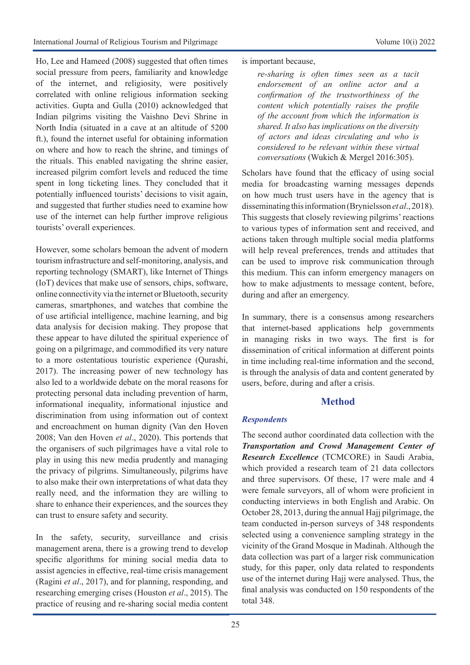Ho, Lee and Hameed (2008) suggested that often times social pressure from peers, familiarity and knowledge of the internet, and religiosity, were positively correlated with online religious information seeking activities. Gupta and Gulla (2010) acknowledged that Indian pilgrims visiting the Vaishno Devi Shrine in North India (situated in a cave at an altitude of 5200 ft.), found the internet useful for obtaining information on where and how to reach the shrine, and timings of the rituals. This enabled navigating the shrine easier, increased pilgrim comfort levels and reduced the time spent in long ticketing lines. They concluded that it potentially influenced tourists' decisions to visit again, and suggested that further studies need to examine how use of the internet can help further improve religious tourists' overall experiences.

However, some scholars bemoan the advent of modern tourism infrastructure and self-monitoring, analysis, and reporting technology (SMART), like Internet of Things (IoT) devices that make use of sensors, chips, software, online connectivity via the internet or Bluetooth, security cameras, smartphones, and watches that combine the of use artificial intelligence, machine learning, and big data analysis for decision making. They propose that these appear to have diluted the spiritual experience of going on a pilgrimage, and commodified its very nature to a more ostentatious touristic experience (Qurashi, 2017). The increasing power of new technology has also led to a worldwide debate on the moral reasons for protecting personal data including prevention of harm, informational inequality, informational injustice and discrimination from using information out of context and encroachment on human dignity (Van den Hoven 2008; Van den Hoven *et al*., 2020). This portends that the organisers of such pilgrimages have a vital role to play in using this new media prudently and managing the privacy of pilgrims. Simultaneously, pilgrims have to also make their own interpretations of what data they really need, and the information they are willing to share to enhance their experiences, and the sources they can trust to ensure safety and security.

In the safety, security, surveillance and crisis management arena, there is a growing trend to develop specific algorithms for mining social media data to assist agencies in effective, real-time crisis management (Ragini *et al*., 2017), and for planning, responding, and researching emerging crises (Houston *et al*., 2015). The practice of reusing and re-sharing social media content is important because,

*re-sharing is often times seen as a tacit endorsement of an online actor and a confirmation of the trustworthiness of the content which potentially raises the profile of the account from which the information is shared. It also has implications on the diversity of actors and ideas circulating and who is considered to be relevant within these virtual conversations* (Wukich & Mergel 2016:305).

Scholars have found that the efficacy of using social media for broadcasting warning messages depends on how much trust users have in the agency that is disseminating this information (Brynielsson *et al*., 2018). This suggests that closely reviewing pilgrims' reactions to various types of information sent and received, and actions taken through multiple social media platforms will help reveal preferences, trends and attitudes that can be used to improve risk communication through this medium. This can inform emergency managers on how to make adjustments to message content, before, during and after an emergency.

In summary, there is a consensus among researchers that internet-based applications help governments in managing risks in two ways. The first is for dissemination of critical information at different points in time including real-time information and the second, is through the analysis of data and content generated by users, before, during and after a crisis.

# **Method**

#### *Respondents*

The second author coordinated data collection with the *Transportation and Crowd Management Center of Research Excellence* (TCMCORE) in Saudi Arabia, which provided a research team of 21 data collectors and three supervisors. Of these, 17 were male and 4 were female surveyors, all of whom were proficient in conducting interviews in both English and Arabic. On October 28, 2013, during the annual Hajj pilgrimage, the team conducted in-person surveys of 348 respondents selected using a convenience sampling strategy in the vicinity of the Grand Mosque in Madinah. Although the data collection was part of a larger risk communication study, for this paper, only data related to respondents use of the internet during Hajj were analysed. Thus, the final analysis was conducted on 150 respondents of the total 348.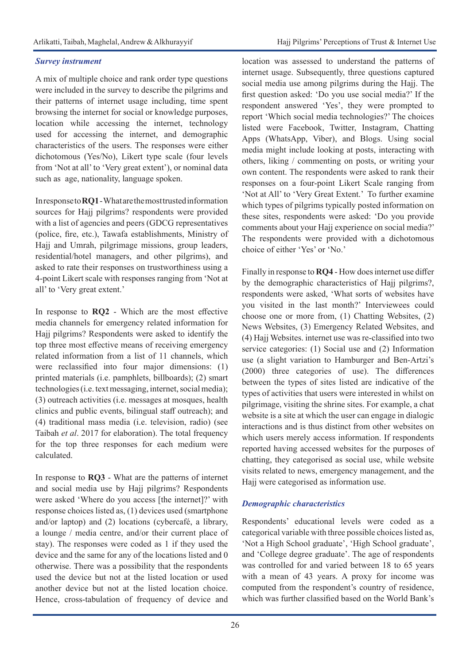# *Survey instrument*

A mix of multiple choice and rank order type questions were included in the survey to describe the pilgrims and their patterns of internet usage including, time spent browsing the internet for social or knowledge purposes, location while accessing the internet, technology used for accessing the internet, and demographic characteristics of the users. The responses were either dichotomous (Yes/No), Likert type scale (four levels from 'Not at all' to 'Very great extent'), or nominal data such as age, nationality, language spoken.

In response to **RQ1** - What are the most trusted information sources for Hajj pilgrims? respondents were provided with a list of agencies and peers (GDCG representatives (police, fire, etc.), Tawafa establishments, Ministry of Hajj and Umrah, pilgrimage missions, group leaders, residential/hotel managers, and other pilgrims), and asked to rate their responses on trustworthiness using a 4-point Likert scale with responses ranging from 'Not at all' to 'Very great extent.'

In response to **RQ2** - Which are the most effective media channels for emergency related information for Hajj pilgrims? Respondents were asked to identify the top three most effective means of receiving emergency related information from a list of 11 channels, which were reclassified into four major dimensions: (1) printed materials (i.e. pamphlets, billboards); (2) smart technologies (i.e. text messaging, internet, social media); (3) outreach activities (i.e. messages at mosques, health clinics and public events, bilingual staff outreach); and (4) traditional mass media (i.e. television, radio) (see Taibah *et al*. 2017 for elaboration). The total frequency for the top three responses for each medium were calculated.

In response to **RQ3** - What are the patterns of internet and social media use by Hajj pilgrims? Respondents were asked 'Where do you access [the internet]?' with response choices listed as, (1) devices used (smartphone and/or laptop) and (2) locations (cybercafé, a library, a lounge / media centre, and/or their current place of stay). The responses were coded as 1 if they used the device and the same for any of the locations listed and 0 otherwise. There was a possibility that the respondents used the device but not at the listed location or used another device but not at the listed location choice. Hence, cross-tabulation of frequency of device and

location was assessed to understand the patterns of internet usage. Subsequently, three questions captured social media use among pilgrims during the Hajj. The first question asked: 'Do you use social media?' If the respondent answered 'Yes', they were prompted to report 'Which social media technologies?' The choices listed were Facebook, Twitter, Instagram, Chatting Apps (WhatsApp, Viber), and Blogs. Using social media might include looking at posts, interacting with others, liking / commenting on posts, or writing your own content. The respondents were asked to rank their responses on a four-point Likert Scale ranging from 'Not at All' to 'Very Great Extent.' To further examine which types of pilgrims typically posted information on these sites, respondents were asked: 'Do you provide comments about your Hajj experience on social media?' The respondents were provided with a dichotomous choice of either 'Yes' or 'No.'

Finally in response to **RQ4** - How does internet use differ by the demographic characteristics of Hajj pilgrims?, respondents were asked, 'What sorts of websites have you visited in the last month?' Interviewees could choose one or more from, (1) Chatting Websites, (2) News Websites, (3) Emergency Related Websites, and (4) Hajj Websites. internet use was re-classified into two service categories: (1) Social use and (2) Information use (a slight variation to Hamburger and Ben-Artzi's (2000) three categories of use). The differences between the types of sites listed are indicative of the types of activities that users were interested in whilst on pilgrimage, visiting the shrine sites. For example, a chat website is a site at which the user can engage in dialogic interactions and is thus distinct from other websites on which users merely access information. If respondents reported having accessed websites for the purposes of chatting, they categorised as social use, while website visits related to news, emergency management, and the Hajj were categorised as information use.

# *Demographic characteristics*

Respondents' educational levels were coded as a categorical variable with three possible choices listed as, 'Not a High School graduate', 'High School graduate', and 'College degree graduate'. The age of respondents was controlled for and varied between 18 to 65 years with a mean of 43 years. A proxy for income was computed from the respondent's country of residence, which was further classified based on the World Bank's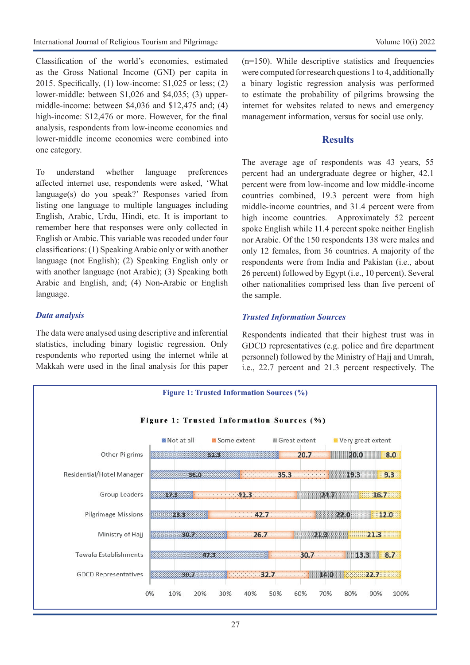Classification of the world's economies, estimated as the Gross National Income (GNI) per capita in 2015. Specifically, (1) low-income: \$1,025 or less; (2) lower-middle: between \$1,026 and \$4,035; (3) uppermiddle-income: between \$4,036 and \$12,475 and; (4) high-income: \$12,476 or more. However, for the final analysis, respondents from low-income economies and lower-middle income economies were combined into one category.

To understand whether language preferences affected internet use, respondents were asked, 'What language(s) do you speak?' Responses varied from listing one language to multiple languages including English, Arabic, Urdu, Hindi, etc. It is important to remember here that responses were only collected in English or Arabic. This variable was recoded under four classifications: (1) Speaking Arabic only or with another language (not English); (2) Speaking English only or with another language (not Arabic); (3) Speaking both Arabic and English, and; (4) Non-Arabic or English language.

#### *Data analysis*

The data were analysed using descriptive and inferential statistics, including binary logistic regression. Only respondents who reported using the internet while at Makkah were used in the final analysis for this paper  $(n=150)$ . While descriptive statistics and frequencies were computed for research questions 1 to 4, additionally a binary logistic regression analysis was performed to estimate the probability of pilgrims browsing the internet for websites related to news and emergency management information, versus for social use only.

# **Results**

The average age of respondents was 43 years, 55 percent had an undergraduate degree or higher, 42.1 percent were from low-income and low middle-income countries combined, 19.3 percent were from high middle-income countries, and 31.4 percent were from high income countries. Approximately 52 percent spoke English while 11.4 percent spoke neither English nor Arabic. Of the 150 respondents 138 were males and only 12 females, from 36 countries. A majority of the respondents were from India and Pakistan (i.e., about 26 percent) followed by Egypt (i.e., 10 percent). Several other nationalities comprised less than five percent of the sample.

# *Trusted Information Sources*

Respondents indicated that their highest trust was in GDCD representatives (e.g. police and fire department personnel) followed by the Ministry of Hajj and Umrah, i.e., 22.7 percent and 21.3 percent respectively. The

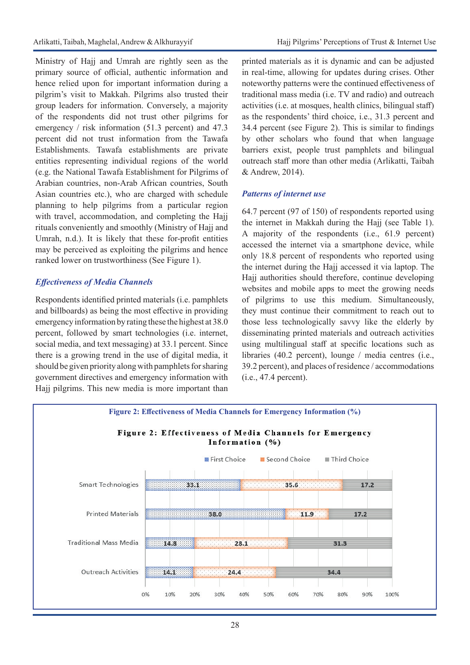Ministry of Hajj and Umrah are rightly seen as the primary source of official, authentic information and hence relied upon for important information during a pilgrim's visit to Makkah. Pilgrims also trusted their group leaders for information. Conversely, a majority of the respondents did not trust other pilgrims for emergency / risk information (51.3 percent) and 47.3 percent did not trust information from the Tawafa Establishments. Tawafa establishments are private entities representing individual regions of the world (e.g. the National Tawafa Establishment for Pilgrims of Arabian countries, non-Arab African countries, South Asian countries etc.), who are charged with schedule planning to help pilgrims from a particular region with travel, accommodation, and completing the Hajj rituals conveniently and smoothly (Ministry of Hajj and Umrah, n.d.). It is likely that these for-profit entities may be perceived as exploiting the pilgrims and hence ranked lower on trustworthiness (See Figure 1).

# *Effectiveness of Media Channels*

Respondents identified printed materials (i.e. pamphlets and billboards) as being the most effective in providing emergency information by rating these the highest at 38.0 percent, followed by smart technologies (i.e. internet, social media, and text messaging) at 33.1 percent. Since there is a growing trend in the use of digital media, it should be given priority along with pamphlets for sharing government directives and emergency information with Hajj pilgrims. This new media is more important than printed materials as it is dynamic and can be adjusted in real-time, allowing for updates during crises. Other noteworthy patterns were the continued effectiveness of traditional mass media (i.e. TV and radio) and outreach activities (i.e. at mosques, health clinics, bilingual staff) as the respondents' third choice, i.e., 31.3 percent and 34.4 percent (see Figure 2). This is similar to findings by other scholars who found that when language barriers exist, people trust pamphlets and bilingual outreach staff more than other media (Arlikatti, Taibah & Andrew, 2014).

# *Patterns of internet use*

64.7 percent (97 of 150) of respondents reported using the internet in Makkah during the Hajj (see Table 1). A majority of the respondents (i.e., 61.9 percent) accessed the internet via a smartphone device, while only 18.8 percent of respondents who reported using the internet during the Hajj accessed it via laptop. The Hajj authorities should therefore, continue developing websites and mobile apps to meet the growing needs of pilgrims to use this medium. Simultaneously, they must continue their commitment to reach out to those less technologically savvy like the elderly by disseminating printed materials and outreach activities using multilingual staff at specific locations such as libraries (40.2 percent), lounge / media centres (i.e., 39.2 percent), and places of residence / accommodations (i.e., 47.4 percent).

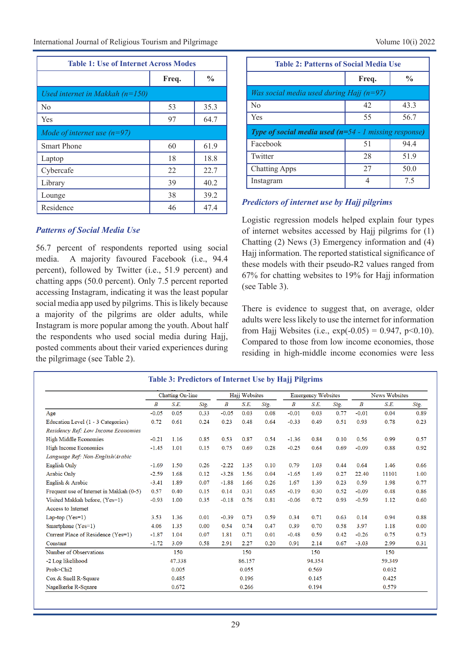International Journal of Religious Tourism and Pilgrimage Volume 10(i) 2022

| <b>Table 1: Use of Internet Across Modes</b> |       |               |  |  |  |  |  |  |  |
|----------------------------------------------|-------|---------------|--|--|--|--|--|--|--|
|                                              | Freq. | $\frac{6}{9}$ |  |  |  |  |  |  |  |
| Used internet in Makkah $(n=150)$            |       |               |  |  |  |  |  |  |  |
| No                                           | 53    | 35.3          |  |  |  |  |  |  |  |
| Yes                                          | 97    | 64.7          |  |  |  |  |  |  |  |
| Mode of internet use $(n=97)$                |       |               |  |  |  |  |  |  |  |
| <b>Smart Phone</b>                           | 60    | 61.9          |  |  |  |  |  |  |  |
| Laptop                                       | 18    | 18.8          |  |  |  |  |  |  |  |
| Cybercafe                                    | 22    | 22.7          |  |  |  |  |  |  |  |
| Library                                      | 39    | 40.2          |  |  |  |  |  |  |  |
| Lounge                                       | 38    | 39.2          |  |  |  |  |  |  |  |
| Residence                                    | 46    | 47.4          |  |  |  |  |  |  |  |

| <b>Table 2: Patterns of Social Media Use</b>                              |       |               |  |  |  |  |  |
|---------------------------------------------------------------------------|-------|---------------|--|--|--|--|--|
|                                                                           | Freq. | $\frac{0}{0}$ |  |  |  |  |  |
| Was social media used during Hajj $(n=97)$                                |       |               |  |  |  |  |  |
| No                                                                        | 42    | 43.3          |  |  |  |  |  |
| Yes                                                                       | 55    | 56.7          |  |  |  |  |  |
| <b>Type of social media used (<math>n=54</math> - 1 missing response)</b> |       |               |  |  |  |  |  |
| Facebook                                                                  | 51    | 94.4          |  |  |  |  |  |
| Twitter                                                                   | 28    | 51.9          |  |  |  |  |  |
| <b>Chatting Apps</b>                                                      | 27    | 50.0          |  |  |  |  |  |
| Instagram                                                                 | 4     | 7.5           |  |  |  |  |  |

# *Predictors of internet use by Hajj pilgrims*

*Patterns of Social Media Use*

56.7 percent of respondents reported using social media. A majority favoured Facebook (i.e., 94.4 percent), followed by Twitter (i.e., 51.9 percent) and chatting apps (50.0 percent). Only 7.5 percent reported accessing Instagram, indicating it was the least popular social media app used by pilgrims. This is likely because a majority of the pilgrims are older adults, while Instagram is more popular among the youth. About half the respondents who used social media during Hajj, posted comments about their varied experiences during the pilgrimage (see Table 2).

Logistic regression models helped explain four types of internet websites accessed by Hajj pilgrims for (1) Chatting (2) News (3) Emergency information and (4) Hajj information. The reported statistical significance of these models with their pseudo-R2 values ranged from 67% for chatting websites to 19% for Hajj information (see Table 3).

There is evidence to suggest that, on average, older adults were less likely to use the internet for information from Hajj Websites (i.e.,  $exp(-0.05) = 0.947$ ,  $p<0.10$ ). Compared to those from low income economies, those residing in high-middle income economies were less

|                                          | Chatting On-line |        |      | Hajj Websites |        | <b>Emergency Websites</b> |         |        | <b>News Websites</b> |           |        |      |
|------------------------------------------|------------------|--------|------|---------------|--------|---------------------------|---------|--------|----------------------|-----------|--------|------|
|                                          | Β                | S.E.   | Sig. | $\bm{B}$      | S.E.   | Sig.                      | Β       | S.E.   | Sig.                 | $\pmb{B}$ | S.E.   | Sig. |
| Age                                      | $-0.05$          | 0.05   | 0.33 | $-0.05$       | 0.03   | 0.08                      | $-0.01$ | 0.03   | 0.77                 | $-0.01$   | 0.04   | 0.89 |
| Education Level (1 - 3 Categories)       | 0.72             | 0.61   | 0.24 | 0.23          | 0.48   | 0.64                      | $-0.33$ | 0.49   | 0.51                 | 0.93      | 0.78   | 0.23 |
| Residency Ref: Low Income Economies      |                  |        |      |               |        |                           |         |        |                      |           |        |      |
| <b>High Middle Economies</b>             | $-0.21$          | 1.16   | 0.85 | 0.53          | 0.87   | 0.54                      | $-1.36$ | 0.84   | 0.10                 | 0.56      | 0.99   | 0.57 |
| <b>High Income Economies</b>             | $-1.45$          | 1.01   | 0.15 | 0.75          | 0.69   | 0.28                      | $-0.25$ | 0.64   | 0.69                 | $-0.09$   | 0.88   | 0.92 |
| Language Ref: Non-English/Arabic         |                  |        |      |               |        |                           |         |        |                      |           |        |      |
| English Only                             | $-1.69$          | 1.50   | 0.26 | $-2.22$       | 1.35   | 0.10                      | 0.79    | 1.03   | 0.44                 | 0.64      | 1.46   | 0.66 |
| <b>Arabic Only</b>                       | $-2.59$          | 1.68   | 0.12 | $-3.28$       | 1.56   | 0.04                      | $-1.65$ | 1.49   | 0.27                 | 22.40     | 11101  | 1.00 |
| English & Arabic                         | $-3.41$          | 1.89   | 0.07 | $-1.88$       | 1.66   | 0.26                      | 1.67    | 1.39   | 0.23                 | 0.59      | 1.98   | 0.77 |
| Frequent use of Internet in Makkah (0-5) | 0.57             | 0.40   | 0.15 | 0.14          | 0.31   | 0.65                      | $-0.19$ | 0.30   | 0.52                 | $-0.09$   | 0.48   | 0.86 |
| Visited Makkah before, (Yes=1)           | $-0.93$          | 1.00   | 0.35 | $-0.18$       | 0.76   | 0.81                      | $-0.06$ | 0.72   | 0.93                 | $-0.59$   | 1.12   | 0.60 |
| Access to Internet                       |                  |        |      |               |        |                           |         |        |                      |           |        |      |
| Lap-top $(Yes=1)$                        | 3.53             | 1.36   | 0.01 | $-0.39$       | 0.73   | 0.59                      | 0.34    | 0.71   | 0.63                 | 0.14      | 0.94   | 0.88 |
| Smartphone (Yes=1)                       | 4.06             | 1.35   | 0.00 | 0.54          | 0.74   | 0.47                      | 0.39    | 0.70   | 0.58                 | 3.97      | 1.18   | 0.00 |
| Current Place of Residence (Yes=1)       | $-1.87$          | 1.04   | 0.07 | 1.81          | 0.71   | 0.01                      | $-0.48$ | 0.59   | 0.42                 | $-0.26$   | 0.75   | 0.73 |
| Constant                                 | $-1.72$          | 3.09   | 0.58 | 2.91          | 2.27   | 0.20                      | 0.91    | 2.14   | 0.67                 | $-3.03$   | 2.99   | 0.31 |
| Number of Observations                   |                  | 150    |      |               | 150    |                           |         | 150    |                      |           | 150    |      |
| -2 Log likelihood                        |                  | 47.338 |      |               | 86.157 |                           |         | 94.354 |                      |           | 59.349 |      |
| Prob>Chi2                                |                  | 0.005  |      |               | 0.055  |                           |         | 0.569  |                      |           | 0.032  |      |
| Cox & Snell R-Square                     |                  | 0.485  |      |               | 0.196  |                           |         | 0.145  |                      |           | 0.425  |      |
| Nagelkerke R-Square                      |                  | 0.672  |      |               | 0.266  |                           |         | 0.194  |                      |           | 0.579  |      |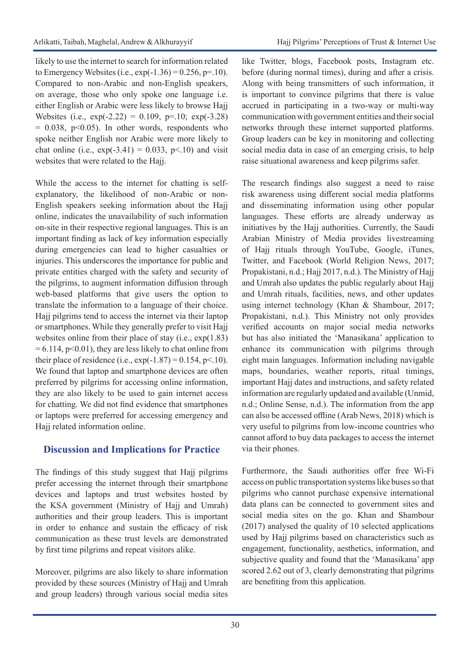likely to use the internet to search for information related to Emergency Websites (i.e.,  $exp(-1.36) = 0.256$ , p=.10). Compared to non-Arabic and non-English speakers, on average, those who only spoke one language i.e. either English or Arabic were less likely to browse Hajj Websites (i.e.,  $exp(-2.22) = 0.109$ , p=.10;  $exp(-3.28)$ )  $= 0.038$ , p<0.05). In other words, respondents who spoke neither English nor Arabic were more likely to chat online (i.e.,  $exp(-3.41) = 0.033$ ,  $p<0.10$ ) and visit websites that were related to the Hajj.

While the access to the internet for chatting is selfexplanatory, the likelihood of non-Arabic or non-English speakers seeking information about the Hajj online, indicates the unavailability of such information on-site in their respective regional languages. This is an important finding as lack of key information especially during emergencies can lead to higher casualties or injuries. This underscores the importance for public and private entities charged with the safety and security of the pilgrims, to augment information diffusion through web-based platforms that give users the option to translate the information to a language of their choice. Hajj pilgrims tend to access the internet via their laptop or smartphones. While they generally prefer to visit Hajj websites online from their place of stay (i.e., exp(1.83)  $= 6.114$ , p<0.01), they are less likely to chat online from their place of residence (i.e.,  $exp(-1.87) = 0.154$ , p<.10). We found that laptop and smartphone devices are often preferred by pilgrims for accessing online information, they are also likely to be used to gain internet access for chatting. We did not find evidence that smartphones or laptops were preferred for accessing emergency and Hajj related information online.

# **Discussion and Implications for Practice**

The findings of this study suggest that Hajj pilgrims prefer accessing the internet through their smartphone devices and laptops and trust websites hosted by the KSA government (Ministry of Hajj and Umrah) authorities and their group leaders. This is important in order to enhance and sustain the efficacy of risk communication as these trust levels are demonstrated by first time pilgrims and repeat visitors alike.

Moreover, pilgrims are also likely to share information provided by these sources (Ministry of Hajj and Umrah and group leaders) through various social media sites

like Twitter, blogs, Facebook posts, Instagram etc. before (during normal times), during and after a crisis. Along with being transmitters of such information, it is important to convince pilgrims that there is value accrued in participating in a two-way or multi-way communication with government entities and their social networks through these internet supported platforms. Group leaders can be key in monitoring and collecting social media data in case of an emerging crisis, to help raise situational awareness and keep pilgrims safer.

The research findings also suggest a need to raise risk awareness using different social media platforms and disseminating information using other popular languages. These efforts are already underway as initiatives by the Hajj authorities. Currently, the Saudi Arabian Ministry of Media provides livestreaming of Hajj rituals through YouTube, Google, iTunes, Twitter, and Facebook (World Religion News, 2017; Propakistani, n.d.; Hajj 2017, n.d.). The Ministry of Hajj and Umrah also updates the public regularly about Hajj and Umrah rituals, facilities, news, and other updates using internet technology (Khan & Shambour, 2017; Propakistani, n.d.). This Ministry not only provides verified accounts on major social media networks but has also initiated the 'Manasikana' application to enhance its communication with pilgrims through eight main languages. Information including navigable maps, boundaries, weather reports, ritual timings, important Hajj dates and instructions, and safety related information are regularly updated and available (Unmid, n.d.; Online Sense, n.d.). The information from the app can also be accessed offline (Arab News, 2018) which is very useful to pilgrims from low-income countries who cannot afford to buy data packages to access the internet via their phones.

Furthermore, the Saudi authorities offer free Wi-Fi access on public transportation systems like buses so that pilgrims who cannot purchase expensive international data plans can be connected to government sites and social media sites on the go. Khan and Shambour (2017) analysed the quality of 10 selected applications used by Hajj pilgrims based on characteristics such as engagement, functionality, aesthetics, information, and subjective quality and found that the 'Manasikana' app scored 2.62 out of 3, clearly demonstrating that pilgrims are benefiting from this application.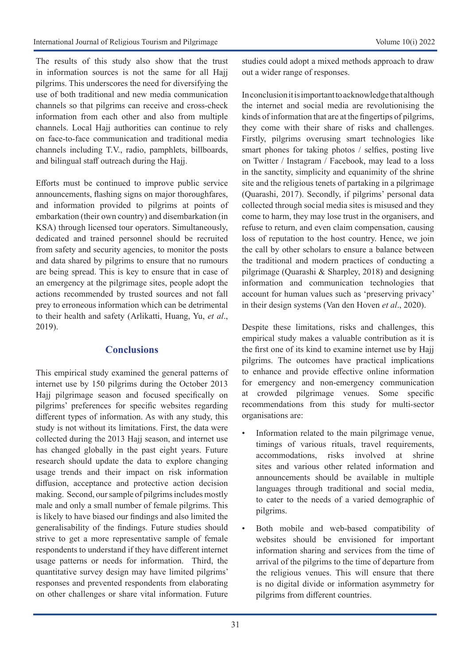The results of this study also show that the trust in information sources is not the same for all Hajj pilgrims. This underscores the need for diversifying the use of both traditional and new media communication channels so that pilgrims can receive and cross-check information from each other and also from multiple channels. Local Hajj authorities can continue to rely on face-to-face communication and traditional media channels including T.V., radio, pamphlets, billboards, and bilingual staff outreach during the Hajj.

Efforts must be continued to improve public service announcements, flashing signs on major thoroughfares, and information provided to pilgrims at points of embarkation (their own country) and disembarkation (in KSA) through licensed tour operators. Simultaneously, dedicated and trained personnel should be recruited from safety and security agencies, to monitor the posts and data shared by pilgrims to ensure that no rumours are being spread. This is key to ensure that in case of an emergency at the pilgrimage sites, people adopt the actions recommended by trusted sources and not fall prey to erroneous information which can be detrimental to their health and safety (Arlikatti, Huang, Yu, *et al*., 2019).

# **Conclusions**

This empirical study examined the general patterns of internet use by 150 pilgrims during the October 2013 Hajj pilgrimage season and focused specifically on pilgrims' preferences for specific websites regarding different types of information. As with any study, this study is not without its limitations. First, the data were collected during the 2013 Hajj season, and internet use has changed globally in the past eight years. Future research should update the data to explore changing usage trends and their impact on risk information diffusion, acceptance and protective action decision making. Second, our sample of pilgrims includes mostly male and only a small number of female pilgrims. This is likely to have biased our findings and also limited the generalisability of the findings. Future studies should strive to get a more representative sample of female respondents to understand if they have different internet usage patterns or needs for information. Third, the quantitative survey design may have limited pilgrims' responses and prevented respondents from elaborating on other challenges or share vital information. Future

studies could adopt a mixed methods approach to draw out a wider range of responses.

In conclusion it is important to acknowledge that although the internet and social media are revolutionising the kinds of information that are at the fingertips of pilgrims, they come with their share of risks and challenges. Firstly, pilgrims overusing smart technologies like smart phones for taking photos / selfies, posting live on Twitter / Instagram / Facebook, may lead to a loss in the sanctity, simplicity and equanimity of the shrine site and the religious tenets of partaking in a pilgrimage (Quarashi, 2017). Secondly, if pilgrims' personal data collected through social media sites is misused and they come to harm, they may lose trust in the organisers, and refuse to return, and even claim compensation, causing loss of reputation to the host country. Hence, we join the call by other scholars to ensure a balance between the traditional and modern practices of conducting a pilgrimage (Quarashi & Sharpley, 2018) and designing information and communication technologies that account for human values such as 'preserving privacy' in their design systems (Van den Hoven *et al*., 2020).

Despite these limitations, risks and challenges, this empirical study makes a valuable contribution as it is the first one of its kind to examine internet use by Hajj pilgrims. The outcomes have practical implications to enhance and provide effective online information for emergency and non-emergency communication at crowded pilgrimage venues. Some specific recommendations from this study for multi-sector organisations are:

- Information related to the main pilgrimage venue, timings of various rituals, travel requirements, accommodations, risks involved at shrine sites and various other related information and announcements should be available in multiple languages through traditional and social media, to cater to the needs of a varied demographic of pilgrims.
- Both mobile and web-based compatibility of websites should be envisioned for important information sharing and services from the time of arrival of the pilgrims to the time of departure from the religious venues. This will ensure that there is no digital divide or information asymmetry for pilgrims from different countries.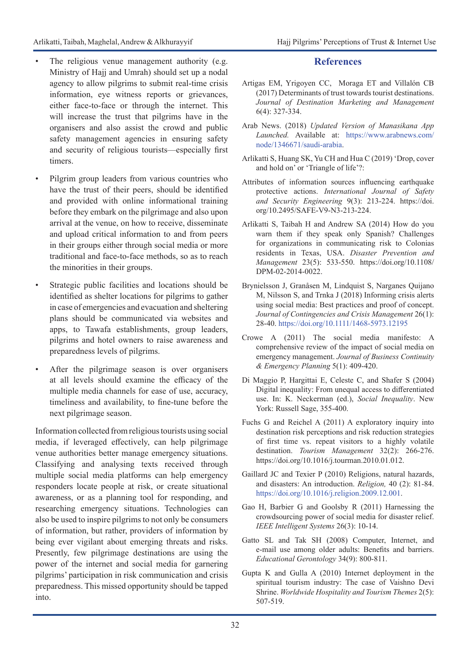- The religious venue management authority (e.g. Ministry of Hajj and Umrah) should set up a nodal agency to allow pilgrims to submit real-time crisis information, eye witness reports or grievances, either face-to-face or through the internet. This will increase the trust that pilgrims have in the organisers and also assist the crowd and public safety management agencies in ensuring safety and security of religious tourists—especially first timers.
- Pilgrim group leaders from various countries who have the trust of their peers, should be identified and provided with online informational training before they embark on the pilgrimage and also upon arrival at the venue, on how to receive, disseminate and upload critical information to and from peers in their groups either through social media or more traditional and face-to-face methods, so as to reach the minorities in their groups.
- Strategic public facilities and locations should be identified as shelter locations for pilgrims to gather in case of emergencies and evacuation and sheltering plans should be communicated via websites and apps, to Tawafa establishments, group leaders, pilgrims and hotel owners to raise awareness and preparedness levels of pilgrims.
- After the pilgrimage season is over organisers at all levels should examine the efficacy of the multiple media channels for ease of use, accuracy, timeliness and availability, to fine-tune before the next pilgrimage season.

Information collected from religious tourists using social media, if leveraged effectively, can help pilgrimage venue authorities better manage emergency situations. Classifying and analysing texts received through multiple social media platforms can help emergency responders locate people at risk, or create situational awareness, or as a planning tool for responding, and researching emergency situations. Technologies can also be used to inspire pilgrims to not only be consumers of information, but rather, providers of information by being ever vigilant about emerging threats and risks. Presently, few pilgrimage destinations are using the power of the internet and social media for garnering pilgrims' participation in risk communication and crisis preparedness. This missed opportunity should be tapped into.

# **References**

- [Artigas](https://www.sciencedirect.com/science/article/pii/S2212571X17300896#!) EM, [Yrigoyen CC, Moraga ET and Villalón CB](https://www.sciencedirect.com/science/article/pii/S2212571X17300896#!)  [\(2017\)](https://www.sciencedirect.com/science/article/pii/S2212571X17300896#!) Determinants of trust towards tourist destinations. *[Journal of Destination Marketing and Management](https://www.sciencedirect.com/science/journal/2212571X)*  6(4): 327-334.
- Arab News. (2018) *Updated Version of Manasikana App Launched.* Available at: [https://www.arabnews.com/](https://www.arabnews.com/node/1346671/saudi-arabia) [node/1346671/saudi-arabia](https://www.arabnews.com/node/1346671/saudi-arabia).
- Arlikatti S, Huang SK, Yu CH and Hua C (2019) 'Drop, cover and hold on' or 'Triangle of life'?:
- Attributes of information sources influencing earthquake protective actions. *International Journal of Safety and Security Engineering* 9(3): 213-224. https://doi. org/10.2495/SAFE-V9-N3-213-224.
- Arlikatti S, Taibah H and Andrew SA (2014) How do you warn them if they speak only Spanish? Challenges for organizations in communicating risk to Colonias residents in Texas, USA. *Disaster Prevention and Management* 23(5): 533-550. [https://doi.org/10.1108/](https://doi.org/10.1108/DPM-02-2014-0022) [DPM-02-2014-0022](https://doi.org/10.1108/DPM-02-2014-0022).
- Brynielsson J, Granåsen M, Lindquist S, Narganes Quijano M, Nilsson S, and Trnka J (2018) Informing crisis alerts using social media: Best practices and proof of concept. *Journal of Contingencies and Crisis Management* 26(1): 28-40. <https://doi.org/10.1111/1468-5973.12195>
- Crowe A (2011) The social media manifesto: A comprehensive review of the impact of social media on emergency management. *Journal of Business Continuity & Emergency Planning* 5(1): 409-420.
- Di Maggio P, Hargittai E, Celeste C, and Shafer S (2004) Digital inequality: From unequal access to differentiated use. In: K. Neckerman (ed.), *Social Inequality*. New York: Russell Sage, 355-400.
- Fuchs G and Reichel A (2011) A exploratory inquiry into destination risk perceptions and risk reduction strategies of first time vs. repeat visitors to a highly volatile destination. *Tourism Management* 32(2): 266-276. [https://doi.org/10.1016/j.tourman.2010.01.012.](https://doi.org/10.1016/j.tourman.2010.01.012)
- Gaillard JC and Texier P (2010) Religions, natural hazards, and disasters: An introduction. *Religion,* 40 (2): 81-84. <https://doi.org/10.1016/j.religion.2009.12.001>.
- Gao H, Barbier G and Goolsby R (2011) Harnessing the crowdsourcing power of social media for disaster relief. *IEEE Intelligent Systems* 26(3): 10-14.
- Gatto SL and Tak SH (2008) Computer, Internet, and e-mail use among older adults: Benefits and barriers. *Educational Gerontology* 34(9): 800-811.
- Gupta K and Gulla A (2010) Internet deployment in the spiritual tourism industry: The case of Vaishno Devi Shrine. *Worldwide Hospitality and Tourism Themes* 2(5): 507-519.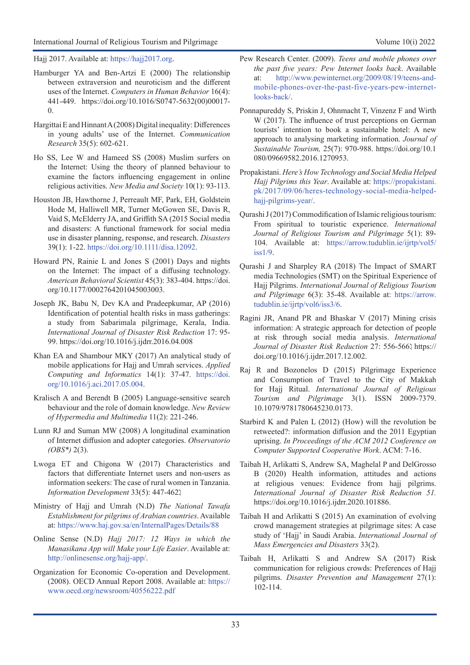Hajj 2017. Available at: <https://hajj2017.org>.

- Hamburger YA and Ben-Artzi E (2000) The relationship between extraversion and neuroticism and the different uses of the Internet. *Computers in Human Behavior* 16(4): 441-449. [https://doi.org/10.1016/S0747-5632\(00\)00017-](https://psycnet.apa.org/doi/10.1016/S0747-5632(00)00017-0)  $\Omega$ .
- Hargittai E and Hinnant A (2008) Digital inequality: Differences in young adults' use of the Internet. *Communication Research* 35(5): 602-621.
- Ho SS, Lee W and Hameed SS (2008) Muslim surfers on the Internet: Using the theory of planned behaviour to examine the factors influencing engagement in online religious activities. *New Media and Society* 10(1): 93-113.
- Houston JB, Hawthorne J, Perreault MF, Park, EH, Goldstein Hode M, Halliwell MR, Turner McGowen SE, Davis R, Vaid S, McElderry JA, and Griffith SA (2015 Social media and disasters: A functional framework for social media use in disaster planning, response, and research. *Disasters* 39(1): 1-22. <https://doi.org/10.1111/disa.12092>.
- Howard PN, Rainie L and Jones S (2001) Days and nights on the Internet: The impact of a diffusing technology. *American Behavioral Scientist* 45(3): 383-404. https://doi. org/10.1177/0002764201045003003.
- Joseph JK, Babu N, Dev KA and Pradeepkumar, AP (2016) Identification of potential health risks in mass gatherings: a study from Sabarimala pilgrimage, Kerala, India. *International Journal of Disaster Risk Reduction* 17: 95- 99. https://doi.org/10.1016/j.ijdrr.2016.04.008
- Khan EA and Shambour MKY (2017) An analytical study of mobile applications for Hajj and Umrah services. *Applied Computing and Informatics* 14(1): 37-47. [https://doi.](https://doi.org/10.1016/j.aci.2017.05.004) [org/10.1016/j.aci.2017.05.004](https://doi.org/10.1016/j.aci.2017.05.004).
- Kralisch A and Berendt B (2005) Language-sensitive search behaviour and the role of domain knowledge. *New Review of Hypermedia and Multimedia* 11(2): 221-246.
- Lunn RJ and Suman MW (2008) A longitudinal examination of Internet diffusion and adopter categories. *Observatorio (OBS\*)* 2(3).
- Lwoga ET and Chigona W (2017) Characteristics and factors that differentiate Internet users and non-users as information seekers: The case of rural women in Tanzania. *Information Development* 33(5): 447-462.
- Ministry of Hajj and Umrah (N.D) *The National Tawafa Establishment for pilgrims of Arabian countries*. Available at: <https://www.haj.gov.sa/en/InternalPages/Details/88>
- Online Sense (N.D) *Hajj 2017: 12 Ways in which the Manasikana App will Make your Life Easier*. Available at: <http://onlinesense.org/hajj-app/>.
- Organization for Economic Co-operation and Development. (2008). OECD Annual Report 2008. Available at: [https://](https://www.oecd.org/newsroom/40556222.pdf) [www.oecd.org/newsroom/40556222.pdf](https://www.oecd.org/newsroom/40556222.pdf)
- Pew Research Center. (2009). *Teens and mobile phones over the past five years: Pew Internet looks back*. Available at: [http://www.pewinternet.org/2009/08/19/teens-and](http://www.pewinternet.org/2009/08/19/teens-and-mobile-phones-over-the-past-five-years-pew-internet-looks-back/)[mobile-phones-over-the-past-five-years-pew-internet](http://www.pewinternet.org/2009/08/19/teens-and-mobile-phones-over-the-past-five-years-pew-internet-looks-back/)[looks-back/](http://www.pewinternet.org/2009/08/19/teens-and-mobile-phones-over-the-past-five-years-pew-internet-looks-back/).
- Ponnapureddy S, Priskin J, Ohnmacht T, Vinzenz F and Wirth W (2017). The influence of trust perceptions on German tourists' intention to book a sustainable hotel: A new approach to analysing marketing information. *Journal of Sustainable Tourism,* 25(7): 970-988. https://doi.org/10.1 080/09669582.2016.1270953.
- Propakistani. *Here's How Technology and Social Media Helped Hajj Pilgrims this Year*. Available at: [https://propakistani.](https://propakistani.pk/2017/09/06/heres-technology-social-media-helped-hajj-pilgrims-year/) [pk/2017/09/06/heres-technology-social-media-helped](https://propakistani.pk/2017/09/06/heres-technology-social-media-helped-hajj-pilgrims-year/)[hajj-pilgrims-year/](https://propakistani.pk/2017/09/06/heres-technology-social-media-helped-hajj-pilgrims-year/).
- Qurashi J (2017) Commodification of Islamic religious tourism: From spiritual to touristic experience. *International Journal of Religious Tourism and Pilgrimage* 5(1): 89- 104. Available at: [https://arrow.tudublin.ie/ijrtp/vol5/](https://arrow.tudublin.ie/ijrtp/vol5/iss1/9) [iss1/9](https://arrow.tudublin.ie/ijrtp/vol5/iss1/9).
- Qurashi J and Sharpley RA (2018) The Impact of SMART media Technologies (SMT) on the Spiritual Experience of Hajj Pilgrims. *International Journal of Religious Tourism and Pilgrimage* 6(3): 35-48. Available at: [https://arrow.](https://arrow.tudublin.ie/ijrtp/vol6/iss3/6) [tudublin.ie/ijrtp/vol6/iss3/6](https://arrow.tudublin.ie/ijrtp/vol6/iss3/6).
- Ragini JR, Anand PR and Bhaskar V (2017) Mining crisis information: A strategic approach for detection of people at risk through social media analysis. *International*  Journal of Disaster Risk Reduction 27: 556-566.[https://](https://doi.org/10.1016/j.ijdrr.2017.12.002) [doi.org/10.1016/j.ijdrr.2017.12.002.](https://doi.org/10.1016/j.ijdrr.2017.12.002)
- Raj R and Bozonelos D (2015) Pilgrimage Experience and Consumption of Travel to the City of Makkah for Hajj Ritual. *International Journal of Religious Tourism and Pilgrimage* 3(1). ISSN 2009-7379. 10.1079/9781780645230.0173.
- Starbird K and Palen L (2012) (How) will the revolution be retweeted?: information diffusion and the 2011 Egyptian uprising. *In Proceedings of the ACM 2012 Conference on Computer Supported Cooperative Work*. ACM: 7-16.
- Taibah H, Arlikatti S, Andrew SA, Maghelal P and DelGrosso B (2020) Health information, attitudes and actions at religious venues: Evidence from hajj pilgrims. *International Journal of Disaster Risk Reduction 51.*  [https://doi.org/10.1016/j.ijdrr.2020.101886.](https://doi.org/10.1016/j.ijdrr.2020.101886)
- Taibah H and Arlikatti S (2015) An examination of evolving crowd management strategies at pilgrimage sites: A case study of 'Hajj' in Saudi Arabia. *International Journal of Mass Emergencies and Disasters* 33(2).
- Taibah H, Arlikatti S and Andrew SA (2017) Risk communication for religious crowds: Preferences of Hajj pilgrims. *Disaster Prevention and Management* 27(1): 102-114.